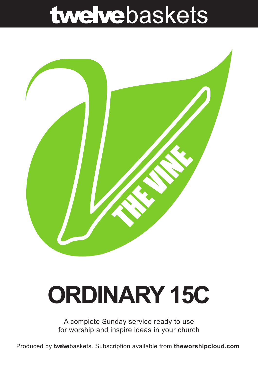## twelvebaskets



# **ORDINARY 15C**

A complete Sunday service ready to use for worship and inspire ideas in your church

Produced by **twelve**baskets. Subscription available from **theworshipcloud.com**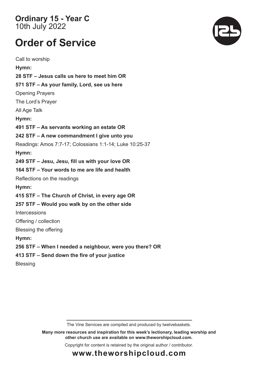**Ordinary 15 - Year C**  10th July 2022

### **Order of Service**

Call to worship **Hymn: 28 STF – Jesus calls us here to meet him OR 571 STF – As your family, Lord, see us here** Opening Prayers The Lord's Prayer All Age Talk **Hymn: 491 STF – As servants working an estate OR 242 STF – A new commandment I give unto you** Readings: Amos 7:7-17; Colossians 1:1-14; Luke 10:25-37 **Hymn: 249 STF – Jesu, Jesu, fill us with your love OR 164 STF – Your words to me are life and health** Reflections on the readings **Hymn: 415 STF – The Church of Christ, in every age OR 257 STF – Would you walk by on the other side Intercessions** Offering / collection Blessing the offering **Hymn: 256 STF – When I needed a neighbour, were you there? OR 413 STF – Send down the fire of your justice Blessing** 



**Many more resources and inspiration for this week's lectionary, leading worship and other church use are available on www.theworshipcloud.com.**

Copyright for content is retained by the original author / contributor.



**www.theworshipcloud.com**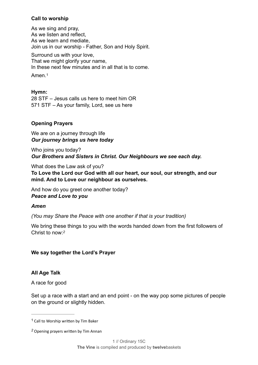#### **Call to worship**

As we sing and pray, As we listen and reflect, As we learn and mediate, Join us in our worship - Father, Son and Holy Spirit.

Surround us with your love, That we might glorify your name, In these next few minutes and in all that is to come.

<span id="page-2-2"></span>Amen.[1](#page-2-0)

#### **Hymn:**

28 STF – Jesus calls us here to meet him OR 571 STF – As your family, Lord, see us here

#### **Opening Prayers**

We are on a journey through life *Our journey brings us here today*

Who joins you today? *Our Brothers and Sisters in Christ. Our Neighbours we see each day.*

What does the Law ask of you? **To Love the Lord our God with all our heart, our soul, our strength, and our mind. And to Love our neighbour as ourselves.**

And how do you greet one another today? *Peace and Love to you* 

#### *Amen*

*(You may Share the Peace with one another if that is your tradition)*

<span id="page-2-3"></span>We bring these things to you with the words handed down from the first followers of Christ to now:*[2](#page-2-1)*

#### **We say together the Lord's Prayer**

#### **All Age Talk**

A race for good

Set up a race with a start and an end point - on the way pop some pictures of people on the ground or slightly hidden.

<span id="page-2-0"></span> $1$  Call to Worship written by Tim Baker

<span id="page-2-1"></span>Opening prayers written by Tim Annan *[2](#page-2-3)*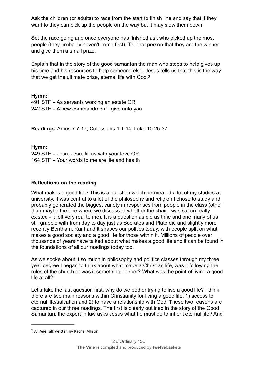Ask the children (or adults) to race from the start to finish line and say that if they want to they can pick up the people on the way but it may slow them down.

Set the race going and once everyone has finished ask who picked up the most people (they probably haven't come first). Tell that person that they are the winner and give them a small prize.

<span id="page-3-1"></span>Explain that in the story of the good samaritan the man who stops to help gives up his time and his resources to help someone else. Jesus tells us that this is the way that we get the ultimate prize, eternal life with God.[3](#page-3-0)

**Hymn:**

491 STF – As servants working an estate OR 242 STF – A new commandment I give unto you

**Readings**: Amos 7:7-17; Colossians 1:1-14; Luke 10:25-37

**Hymn:**

249 STF – Jesu, Jesu, fill us with your love OR 164 STF – Your words to me are life and health

#### **Reflections on the reading**

What makes a good life? This is a question which permeated a lot of my studies at university, it was central to a lot of the philosophy and religion I chose to study and probably generated the biggest variety in responses from people in the class (other than maybe the one where we discussed whether the chair I was sat on really existed - it felt very real to me). It is a question as old as time and one many of us still grapple with from day to day just as Socrates and Plato did and slightly more recently Bentham, Kant and it shapes our politics today, with people split on what makes a good society and a good life for those within it. Millions of people over thousands of years have talked about what makes a good life and it can be found in the foundations of all our readings today too.

As we spoke about it so much in philosophy and politics classes through my three year degree I began to think about what made a Christian life, was it following the rules of the church or was it something deeper? What was the point of living a good life at all?

Let's take the last question first, why do we bother trying to live a good life? I think there are two main reasons within Christianity for living a good life: 1) access to eternal life/salvation and 2) to have a relationship with God. These two reasons are captured in our three readings. The first is clearly outlined in the story of the Good Samaritan; the expert in law asks Jesus what he must do to inherit eternal life? And

<span id="page-3-0"></span><sup>&</sup>lt;sup>[3](#page-3-1)</sup> All Age Talk written by Rachel Allison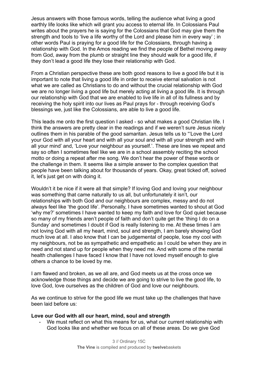Jesus answers with those famous words, telling the audience what living a good earthly life looks like which will grant you access to eternal life. In Colossians Paul writes about the prayers he is saying for the Colossians that God may give them the strength and tools to 'live a life worthy of the Lord and please him in every way'; in other words Paul is praying for a good life for the Colossians, through having a relationship with God. In the Amos reading we find the people of Bethel moving away from God, away from the plumb or straight line they should walk for a good life, if they don't lead a good life they lose their relationship with God.

From a Christian perspective these are both good reasons to live a good life but it is important to note that living a good life in order to receive eternal salvation is not what we are called as Christians to do and without the crucial relationship with God we are no longer living a good life but merely acting at living a good life. It is through our relationship with God that we are enabled to live life in all of its fullness and by receiving the holy spirit into our lives as Paul prays for - through receiving God's blessings we, just like the Colossians, are able to live a good life.

This leads me onto the first question I asked - so what makes a good Christian life. I think the answers are pretty clear in the readings and if we weren't sure Jesus nicely outlines them in his parable of the good samaritan. Jesus tells us to "'Love the Lord your God with all your heart and with all your soul and with all your strength and with all your mind' and, 'Love your neighbour as yourself.'. These are lines we repeat and say so often I sometimes feel like we are in a school assembly reciting the school motto or doing a repeat after me song. We don't hear the power of these words or the challenge in them. It seems like a simple answer to the complex question that people have been talking about for thousands of years. Okay, great ticked off, solved it, let's just get on with doing it.

Wouldn't it be nice if it were all that simple? If loving God and loving your neighbour was something that came naturally to us all, but unfortunately it isn't, our relationships with both God and our neighbours are complex, messy and do not always feel like 'the good life'. Personally, I have sometimes wanted to shout at God 'why me?' sometimes I have wanted to keep my faith and love for God quiet because so many of my friends aren't people of faith and don't quite get the 'thing I do on a Sunday' and sometimes I doubt if God is really listening to me. At these times I am not loving God with all my heart, mind, soul and strength, I am barely showing God much love at all. I also know that I can be judgemental of people, lose my cool with my neighbours, not be as sympathetic and empathetic as I could be when they are in need and not stand up for people when they need me. And with some of the mental health challenges I have faced I know that I have not loved myself enough to give others a chance to be loved by me.

I am flawed and broken, as we all are, and God meets us at the cross once we acknowledge those things and decide we are going to strive to live the good life, to love God, love ourselves as the children of God and love our neighbours.

As we continue to strive for the good life we must take up the challenges that have been laid before us:

#### **Love our God with all our heart, mind, soul and strength**

We must reflect on what this means for us, what our current relationship with God looks like and whether we focus on all of these areas. Do we give God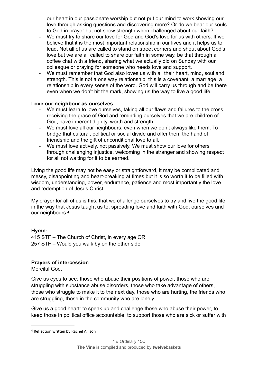our heart in our passionate worship but not put our mind to work showing our love through asking questions and discovering more? Or do we bear our souls to God in prayer but not show strength when challenged about our faith?

- We must try to share our love for God and God's love for us with others. If we believe that it is the most important relationship in our lives and it helps us to lead. Not all of us are called to stand on street corners and shout about God's love but we are all called to share our faith in some way, be that through a coffee chat with a friend, sharing what we actually did on Sunday with our colleague or praying for someone who needs love and support.
- We must remember that God also loves us with all their heart, mind, soul and strength. This is not a one way relationship, this is a covenant, a marriage, a relationship in every sense of the word. God will carry us through and be there even when we don't hit the mark, showing us the way to live a good life.

#### **Love our neighbour as ourselves**

- We must learn to love ourselves, taking all our flaws and failures to the cross, receiving the grace of God and reminding ourselves that we are children of God, have inherent dignity, worth and strength.
- We must love all our neighbours, even when we don't always like them. To bridge that cultural, political or social divide and offer them the hand of friendship and the gift of unconditional love to all.
- We must love actively, not passively. We must show our love for others through challenging injustice, welcoming in the stranger and showing respect for all not waiting for it to be earned.

Living the good life may not be easy or straightforward, it may be complicated and messy, disappointing and heart-breaking at times but it is so worth it to be filled with wisdom, understanding, power, endurance, patience and most importantly the love and redemption of Jesus Christ.

<span id="page-5-1"></span>My prayer for all of us is this, that we challenge ourselves to try and live the good life in the way that Jesus taught us to, spreading love and faith with God, ourselves and our neighbours.[4](#page-5-0)

#### **Hymn:**

415 STF – The Church of Christ, in every age OR 257 STF – Would you walk by on the other side

#### **Prayers of intercession**

Merciful God,

Give us eyes to see: those who abuse their positions of power, those who are struggling with substance abuse disorders, those who take advantage of others, those who struggle to make it to the next day, those who are hurting, the friends who are struggling, those in the community who are lonely.

Give us a good heart: to speak up and challenge those who abuse their power, to keep those in political office accountable, to support those who are sick or suffer with

<span id="page-5-0"></span>[<sup>4</sup>](#page-5-1) Reflection written by Rachel Allison